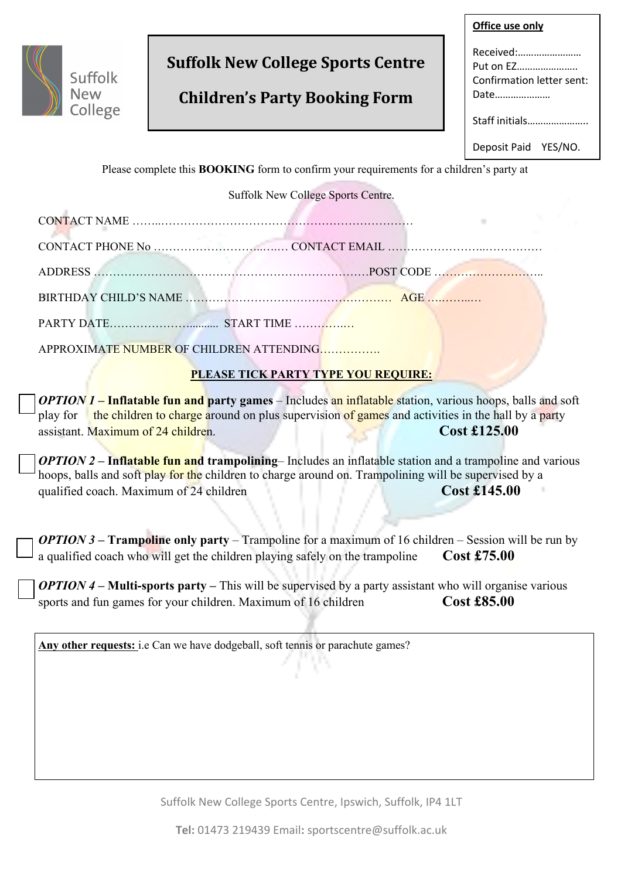

# **Suffolk New College Sports Centre**

# **Children's Party Booking Form**

| Office use only                                             |  |  |
|-------------------------------------------------------------|--|--|
| Received:<br>Put on EZ<br>Confirmation letter sent:<br>Date |  |  |
| Staff initials                                              |  |  |
| Deposit Paid YES/NO.                                        |  |  |
|                                                             |  |  |

Please complete this **BOOKING** form to confirm your requirements for a children's party at

Suffolk New College Sports Centre.

| CONT.<br>N |  |
|------------|--|
|            |  |

ADDRESS ………………………………………………………………POST CODE ………………………..

BIRTHDAY CHILD'S NAME ……………………………………………… AGE ….……..…

PARTY DATE……………………………... START TIME …………….

APPROXIMATE NUMBER OF CHILDREN ATTENDING…………….

# **PLEASE TICK PARTY TYPE YOU REQUIRE:**

*OPTION 1* **– Inflatable fun and party games** – Includes an inflatable station, various hoops, balls and soft play for the children to charge around on plus supervision of games and activities in the hall by a party assistant. Maximum of 24 children. **Cost £125.00** 

*OPTION 2* **– Inflatable fun and trampolining**– Includes an inflatable station and a trampoline and various hoops, balls and soft play for the children to charge around on. Trampolining will be supervised by a qualified coach. Maximum of 24 children **Cost £145.00** 

*OPTION 3* **– Trampoline only party** – Trampoline for a maximum of 16 children – Session will be run by a qualified coach who will get the children playing safely on the trampoline **Cost £75.00**

*OPTION 4 –* **Multi-sports party –** This will be supervised by a party assistant who will organise various sports and fun games for your children. Maximum of 16 children **Cost £85.00** 

Any other requests: i.e Can we have dodgeball, soft tennis or parachute games?

Suffolk New College Sports Centre, Ipswich, Suffolk, IP4 1LT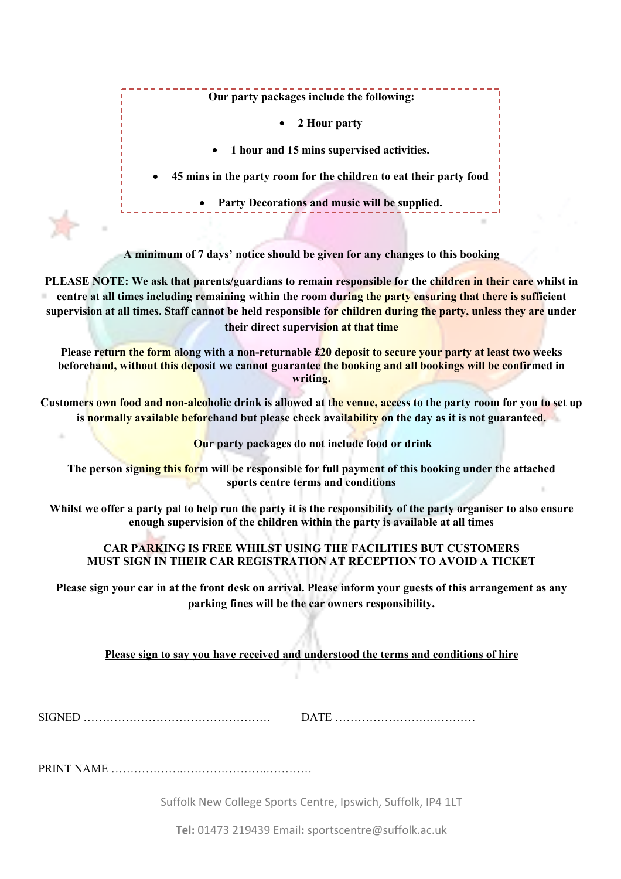**Our party packages include the following:**

# • **2 Hour party**

• **1 hour and 15 mins supervised activities.**

• **45 mins in the party room for the children to eat their party food**

• **Party Decorations and music will be supplied.** 

**A minimum of 7 days' notice should be given for any changes to this booking** 

**PLEASE NOTE: We ask that parents/guardians to remain responsible for the children in their care whilst in centre at all times including remaining within the room during the party ensuring that there is sufficient supervision at all times. Staff cannot be held responsible for children during the party, unless they are under their direct supervision at that time**

**Please return the form along with a non-returnable £20 deposit to secure your party at least two weeks beforehand, without this deposit we cannot guarantee the booking and all bookings will be confirmed in writing.**

**Customers own food and non-alcoholic drink is allowed at the venue, access to the party room for you to set up is normally available beforehand but please check availability on the day as it is not guaranteed.**

**Our party packages do not include food or drink**

**The person signing this form will be responsible for full payment of this booking under the attached sports centre terms and conditions**

**Whilst we offer a party pal to help run the party it is the responsibility of the party organiser to also ensure enough supervision of the children within the party is available at all times**

# **CAR PARKING IS FREE WHILST USING THE FACILITIES BUT CUSTOMERS MUST SIGN IN THEIR CAR REGISTRATION AT RECEPTION TO AVOID A TICKET**

**Please sign your car in at the front desk on arrival. Please inform your guests of this arrangement as any parking fines will be the car owners responsibility.**

**Please sign to say you have received and understood the terms and conditions of hire** 

SIGNED …………………………………………. DATE …………………….…………

PRINT NAME ……………….………………….…………

Suffolk New College Sports Centre, Ipswich, Suffolk, IP4 1LT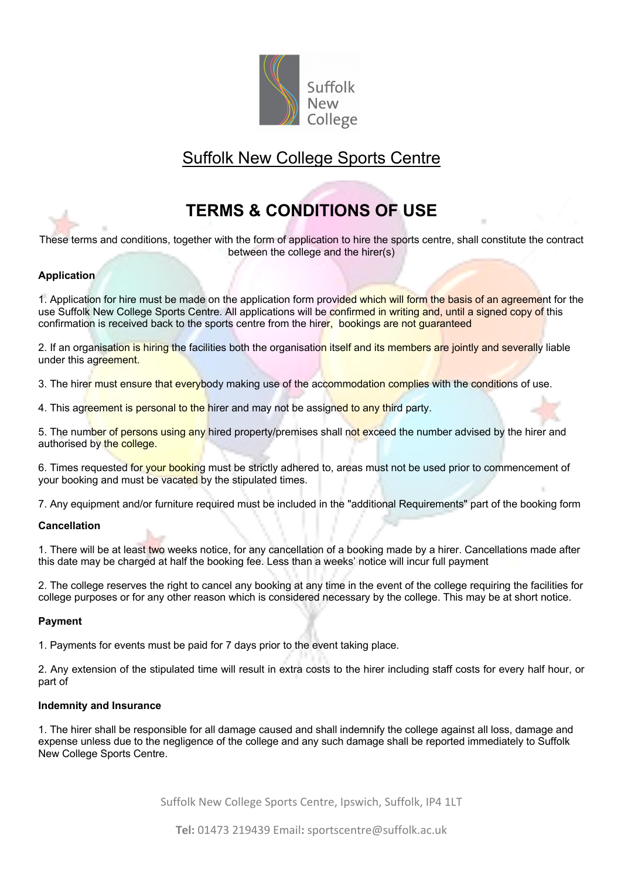

# Suffolk New College Sports Centre

# **TERMS & CONDITIONS OF USE**

These terms and conditions, together with the form of application to hire the sports centre, shall constitute the contract between the college and the hirer(s)

# **Application**

1. Application for hire must be made on the application form provided which will form the basis of an agreement for the use Suffolk New College Sports Centre. All applications will be confirmed in writing and, until a signed copy of this confirmation is received back to the sports centre from the hirer, bookings are not guaranteed

2. If an organisation is hiring the facilities both the organisation itself and its members are jointly and severally liable under this agreement.

3. The hirer must ensure that everybody making use of the accommodation complies with the conditions of use.

4. This agreement is personal to the hirer and may not be assigned to any third party.

5. The number of persons using any hired property/premises shall not exceed the number advised by the hirer and authorised by the college.

6. Times requested for your booking must be strictly adhered to, areas must not be used prior to commencement of your booking and must be vacated by the stipulated times.

7. Any equipment and/or furniture required must be included in the "additional Requirements" part of the booking form

#### **Cancellation**

1. There will be at least two weeks notice, for any cancellation of a booking made by a hirer. Cancellations made after this date may be charged at half the booking fee. Less than a weeks' notice will incur full payment

2. The college reserves the right to cancel any booking at any time in the event of the college requiring the facilities for college purposes or for any other reason which is considered necessary by the college. This may be at short notice.

### **Payment**

1. Payments for events must be paid for 7 days prior to the event taking place.

2. Any extension of the stipulated time will result in extra costs to the hirer including staff costs for every half hour, or part of

#### **Indemnity and Insurance**

1. The hirer shall be responsible for all damage caused and shall indemnify the college against all loss, damage and expense unless due to the negligence of the college and any such damage shall be reported immediately to Suffolk New College Sports Centre.

Suffolk New College Sports Centre, Ipswich, Suffolk, IP4 1LT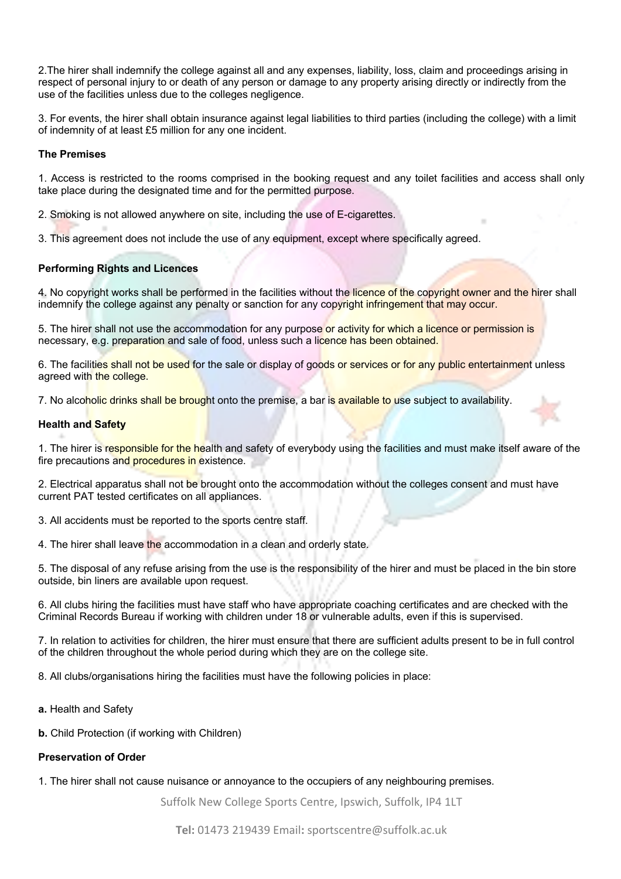2.The hirer shall indemnify the college against all and any expenses, liability, loss, claim and proceedings arising in respect of personal injury to or death of any person or damage to any property arising directly or indirectly from the use of the facilities unless due to the colleges negligence.

3. For events, the hirer shall obtain insurance against legal liabilities to third parties (including the college) with a limit of indemnity of at least £5 million for any one incident.

### **The Premises**

1. Access is restricted to the rooms comprised in the booking request and any toilet facilities and access shall only take place during the designated time and for the permitted purpose.

2. Smoking is not allowed anywhere on site, including the use of E-cigarettes.

3. This agreement does not include the use of any equipment, except where specifically agreed.

#### **Performing Rights and Licences**

4. No copyright works shall be performed in the facilities without the licence of the copyright owner and the hirer shall indemnify the college against any penalty or sanction for any copyright infringement that may occur.

5. The hirer shall not use the accommodation for any purpose or activity for which a licence or permission is necessary, e.g. preparation and sale of food, unless such a licence has been obtained.

6. The facilities shall not be used for the sale or display of goods or services or for any public entertainment unless agreed with the college.

7. No alcoholic drinks shall be brought onto the premise, a bar is available to use subject to availability.

#### **Health and Safety**

1. The hirer is responsible for the health and safety of everybody using the facilities and must make itself aware of the fire precautions and procedures in existence.

2. Electrical apparatus shall not be brought onto the accommodation without the colleges consent and must have current PAT tested certificates on all appliances.

3. All accidents must be reported to the sports centre staff.

4. The hirer shall leave the accommodation in a clean and orderly state.

5. The disposal of any refuse arising from the use is the responsibility of the hirer and must be placed in the bin store outside, bin liners are available upon request.

6. All clubs hiring the facilities must have staff who have appropriate coaching certificates and are checked with the Criminal Records Bureau if working with children under 18 or vulnerable adults, even if this is supervised.

7. In relation to activities for children, the hirer must ensure that there are sufficient adults present to be in full control of the children throughout the whole period during which they are on the college site.

8. All clubs/organisations hiring the facilities must have the following policies in place:

- **a.** Health and Safety
- **b.** Child Protection (if working with Children)

### **Preservation of Order**

1. The hirer shall not cause nuisance or annoyance to the occupiers of any neighbouring premises.

Suffolk New College Sports Centre, Ipswich, Suffolk, IP4 1LT